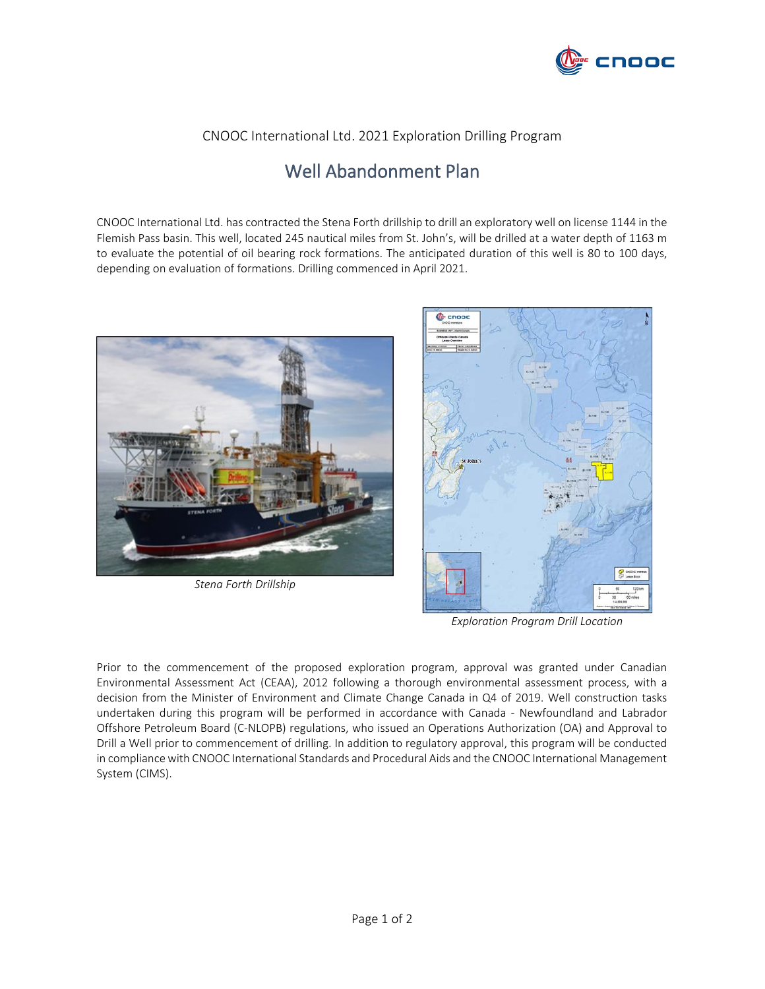

## CNOOC International Ltd. 2021 Exploration Drilling Program

## Well Abandonment Plan

CNOOC International Ltd. has contracted the Stena Forth drillship to drill an exploratory well on license 1144 in the Flemish Pass basin. This well, located 245 nautical miles from St. John's, will be drilled at a water depth of 1163 m to evaluate the potential of oil bearing rock formations. The anticipated duration of this well is 80 to 100 days, depending on evaluation of formations. Drilling commenced in April 2021.



*Stena Forth Drillship*



*Exploration Program Drill Location*

Prior to the commencement of the proposed exploration program, approval was granted under Canadian Environmental Assessment Act (CEAA), 2012 following a thorough environmental assessment process, with a decision from the Minister of Environment and Climate Change Canada in Q4 of 2019. Well construction tasks undertaken during this program will be performed in accordance with Canada - Newfoundland and Labrador Offshore Petroleum Board (C-NLOPB) regulations, who issued an Operations Authorization (OA) and Approval to Drill a Well prior to commencement of drilling. In addition to regulatory approval, this program will be conducted in compliancewith CNOOC International Standards and Procedural Aids and the CNOOC International Management System (CIMS).